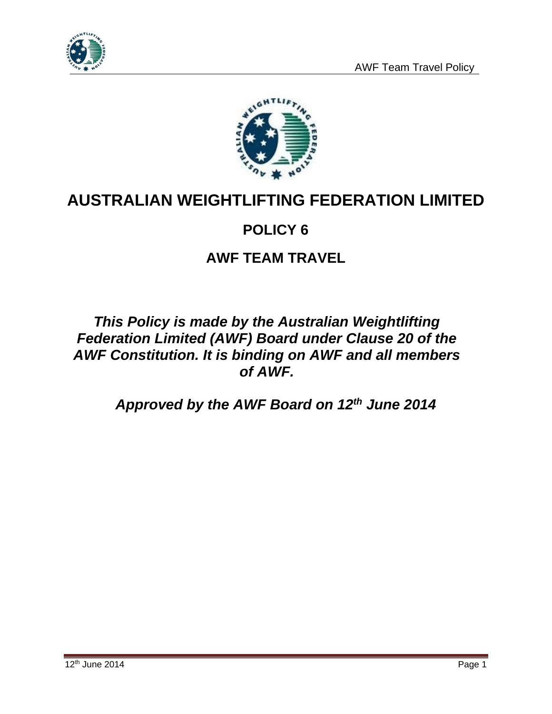



# **AUSTRALIAN WEIGHTLIFTING FEDERATION LIMITED**

# **POLICY 6**

# **AWF TEAM TRAVEL**

# *This Policy is made by the Australian Weightlifting Federation Limited (AWF) Board under Clause 20 of the AWF Constitution. It is binding on AWF and all members of AWF.*

*Approved by the AWF Board on 12th June 2014*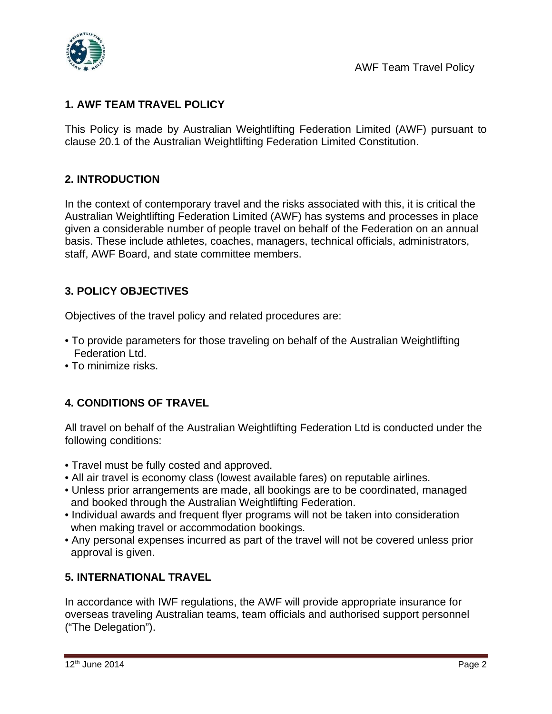

### **1. AWF TEAM TRAVEL POLICY**

This Policy is made by Australian Weightlifting Federation Limited (AWF) pursuant to clause 20.1 of the Australian Weightlifting Federation Limited Constitution.

#### **2. INTRODUCTION**

In the context of contemporary travel and the risks associated with this, it is critical the Australian Weightlifting Federation Limited (AWF) has systems and processes in place given a considerable number of people travel on behalf of the Federation on an annual basis. These include athletes, coaches, managers, technical officials, administrators, staff, AWF Board, and state committee members.

### **3. POLICY OBJECTIVES**

Objectives of the travel policy and related procedures are:

- To provide parameters for those traveling on behalf of the Australian Weightlifting Federation Ltd.
- To minimize risks.

### **4. CONDITIONS OF TRAVEL**

All travel on behalf of the Australian Weightlifting Federation Ltd is conducted under the following conditions:

- Travel must be fully costed and approved.
- All air travel is economy class (lowest available fares) on reputable airlines.
- Unless prior arrangements are made, all bookings are to be coordinated, managed and booked through the Australian Weightlifting Federation.
- Individual awards and frequent flyer programs will not be taken into consideration when making travel or accommodation bookings.
- Any personal expenses incurred as part of the travel will not be covered unless prior approval is given.

#### **5. INTERNATIONAL TRAVEL**

In accordance with IWF regulations, the AWF will provide appropriate insurance for overseas traveling Australian teams, team officials and authorised support personnel ("The Delegation").